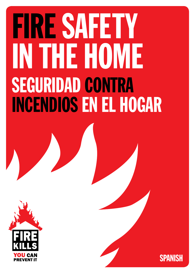# FIRE SAFETY IN THE HOME SEGURIDAD CONTRA INCENDIOS EN EL HOGAR



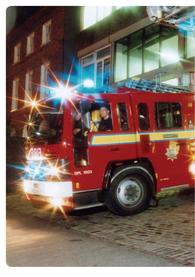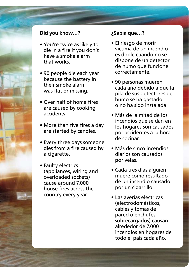#### **Did you know…?**

- You're twice as likely to die in a fire if you don't have a smoke alarm that works.
- 90 people die each year because the battery in their smoke alarm was flat or missing.
- Over half of home fires are caused by cooking accidents.
- More than five fires a day are started by candles.
- Every three days someone dies from a fire caused by a cigarette.
- Faulty electrics (appliances, wiring and overloaded sockets) cause around 7,000 house fires across the country every year.

#### **¿Sabía que…?**

- El riesgo de morir víctima de un incendio es doble cuando no se dispone de un detector de humo que funcione correctamente.
- 90 personas mueren cada año debido a que la pila de sus detectores de humo se ha gastado o no ha sido instalada.
- Más de la mitad de los incendios que se dan en los hogares son causados por accidentes a la hora de cocinar.
- Más de cinco incendios diarios son causados por velas.
- Cada tres días alguien muere como resultado de un incendio causado por un cigarrillo.
- Las averías eléctricas (electrodomésticos, cables y tomas de pared o enchufes sobrecargados) causan alrededor de 7.000 incendios en hogares de todo el país cada año.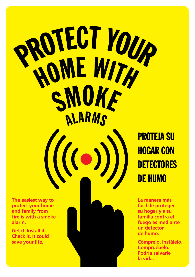# **PROTECT YOUR** HOME WITH SMOKE **ALARMS**

**The easiest way to protect your home and family from fire is with a smoke alarm.** 

**Get it. Install it. Check it. It could save your life.** 

PROTEJA SU HOGAR CON **DETECTORES** DE HUMO

**La manera más fácil de proteger su hogar y a su familia contra el fuego es mediante un detector de humo.** 

**Cómprelo. Instálelo. Compruébelo. Podría salvarle la vida.**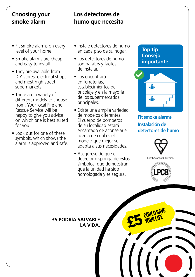### **Choosing your smoke alarm**

- Fit smoke alarms on every level of your home.
- Smoke alarms are cheap and easy to install.
- They are available from DIY stores, electrical shops and most high street supermarkets.
- There are a variety of different models to choose from. Your local Fire and Rescue Service will be happy to give you advice on which one is best suited for you.
- Look out for one of these symbols, which shows the alarm is approved and safe.
- Instale detectores de humo en cada piso de su hogar.
- Los detectores de humo son baratos y fáciles de instalar.

**Los detectores de humo que necesita**

- Los encontrará en ferreterías, establecimientos de bricolaje y en la mayoría de los supermercados principales.
- Existe una amplia variedad de modelos diferentes. El cuerpo de bomberos de su localidad estará encantado de aconsejarle acerca de cuál es el modelo que mejor se adapta a sus necesidades.
- Asegúrese de que el detector disponga de estos símbolos, que demuestran que la unidad ha sido homologada y es segura.

#### **Top tip Consejo importante**



#### **Fit smoke alarms Instalación de detectores de humo**



British Standard Kitemark



**COULDSAVE** yourlife

**£5 PODRÍA SALVARLE LA VIDA.**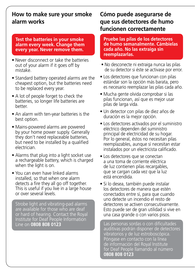### **How to make sure your smoke alarm works**

#### **Test the batteries in your smoke alarm every week. Change them every year. Never remove them.**

- Never disconnect or take the batteries out of your alarm if it goes off by mistake.
- Standard battery operated alarms are the cheapest option, but the batteries need to be replaced every year.
- A lot of people forget to check the batteries, so longer life batteries are better.
- An alarm with ten-year batteries is the best option.
- Mains-powered alarms are powered by your home power supply. Generally they don't need replaceable batteries, but need to be installed by a qualified electrician.
- Alarms that plug into a light socket use a rechargeable battery, which is charged when the light is on.
- You can even have linked alarms installed, so that when one alarm detects a fire they all go off together. This is useful if you live in a large house or over several levels.

Strobe light and vibrating-pad alarms are available for those who are deaf or hard of hearing. Contact the Royal Institute for Deaf People Information Line on **0808 808 0123**

# **Cómo puede asegurarse de que sus detectores de humo funcionen correctamente**

**Pruebe las pilas de los detectores de humo semanalmente. Cámbielas cada año. No las extraiga sin reemplazarlas.**

- No desconecte ni extraiga nunca las pilas de su detector si éste se activase por error.
- Los detectores que funcionan con pilas estándar son la opción más barata, pero es necesario reemplazar las pilas cada año.
- Mucha gente olvida comprobar si las pilas funcionan, así que es mejor usar pilas de larga vida.
- Un detector con pilas de diez años de duración es la mejor opción.
- Los detectores activados por el suministro eléctrico dependen del suministro principal de electricidad de su hogar. Por lo general, éstos no necesitan pilas reemplazables, aunque sí necesitan estar instalados por un electricista calificado.
- Los detectores que se conectan a una toma de corriente eléctrica de luz contienen pilas recargables, que se cargan cada vez que la luz está encendida.
- Si lo desea, también puede instalar los detectores de manera que estén conectados entre sí, para que cuando uno detecte un incendio el resto de detectores se activen consecutivamente. Esto puede ser de gran utilidad si vive en una casa grande o con varios pisos.

 Las personas sordas o con dificultades auditivas podrán disponer de detectores vibratorios y de luz estroboscópica. Póngase en contacto con la línea de información del Royal Institute for Deaf People llamando al número **0808 808 0123**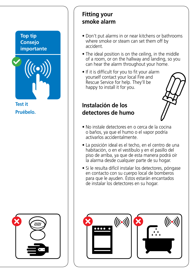### **Top tip Consejo importante**



**Test it Pruébelo.**



# **Fitting your smoke alarm**

- Don't put alarms in or near kitchens or bathrooms where smoke or steam can set them off by accident.
- The ideal position is on the ceiling, in the middle of a room, or on the hallway and landing, so you can hear the alarm throughout your home.
- If it is difficult for you to fit your alarm yourself contact your local Fire and Rescue Service for help. They'll be happy to install it for you.

# **Instalación de los detectores de humo**

- No instale detectores en o cerca de la cocina o baños, ya que el humo o el vapor podría activarlos accidentalmente.
- La posición ideal es el techo, en el centro de una habitación, o en el vestíbulo y en el pasillo del piso de arriba, ya que de esta manera podrá oír la alarma desde cualquier parte de su hogar.
- Si le resulta difícil instalar los detectores, póngase en contacto con su cuerpo local de bomberos para que le ayuden. Éstos estarán encantados de instalar los detectores en su hogar.

 $\bigl(\bigl((\boldsymbol{\cdot}\bm{\cdot})\bigr)\bigr)$ 

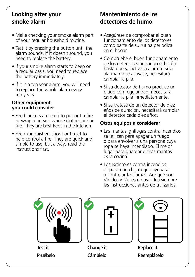# **Looking after your smoke alarm**

- Make checking your smoke alarm part of your regular household routine.
- Test it by pressing the button until the alarm sounds. If it doesn't sound, you need to replace the battery.
- If your smoke alarm starts to beep on a regular basis, you need to replace the battery immediately.
- If it is a ten year alarm, you will need to replace the whole alarm every ten years.

#### **Other equipment you could consider**

- Fire blankets are used to put out a fire or wrap a person whose clothes are on fire. They are best kept in the kitchen.
- Fire extinguishers shoot out a jet to help control a fire. They are quick and simple to use, but always read the instructions first.

# **Mantenimiento de los detectores de humo**

- Asegúrese de comprobar el buen funcionamiento de los detectores como parte de su rutina periódica en el hogar.
- Compruebe el buen funcionamiento de los detectores pulsando el botón hasta que se active la alarma. Si la alarma no se activase, necesitará cambiar la pila.
- Si su detector de humo produce un pitido con regularidad, necesitará cambiar la pila inmediatamente.
- Si se tratase de un detector de diez años de duración, necesitará cambiar el detector cada diez años.

#### **Otros equipos a considerar**

- Las mantas ignífugas contra incendios se utilizan para apagar un fuego o para envolver a una persona cuya ropa se haya incendiado. El mejor lugar para guardar dichas mantas es la cocina.
- Los extintores contra incendios disparan un chorro que ayudará a controlar las llamas. Aunque son rápidos y fáciles de usar, lea siempre las instrucciones antes de utilizarlos.

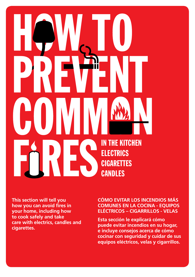# IN THE KITCHEN **ELECTRICS** CIGARETTES **CANDLES**

**This section will tell you how you can avoid fires in your home, including how to cook safely and take care with electrics, candles and cigarettes.**

**CÓMO EVITAR LOS INCENDIOS MÁS COMUNES EN LA COCINA - EQUIPOS ELÉCTRICOS – CIGARRILLOS - VELAS**

**Esta sección le explicará cómo puede evitar incendios en su hogar, e incluye consejos acerca de cómo cocinar con seguridad y cuidar de sus equipos eléctricos, velas y cigarrillos.**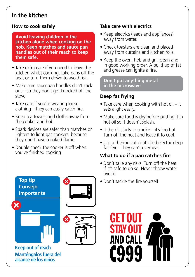# **In the kitchen**

#### **How to cook safely**

**Avoid leaving children in the kitchen alone when cooking on the hob. Keep matches and sauce pan handles out of their reach to keep them safe.**

- Take extra care if you need to leave the kitchen whilst cooking, take pans off the heat or turn them down to avoid risk.
- Make sure saucepan handles don't stick out – so they don't get knocked off the stove.
- Take care if you're wearing loose clothing – they can easily catch fire.
- Keep tea towels and cloths away from the cooker and hob.
- Spark devices are safer than matches or lighters to light gas cookers, because they don't have a naked flame.
- Double check the cooker is off when you've finished cooking

#### **Take care with electrics**

- Keep electrics (leads and appliances) away from water.
- Check toasters are clean and placed away from curtains and kitchen rolls.
- Keep the oven, hob and grill clean and in good working order. A build up of fat and grease can ignite a fire.

#### **Don't put anything metal in the microwave**

#### **Deep fat frying**

- Take care when cooking with hot oil it sets alight easily.
- Make sure food is dry before putting it in hot oil so it doesn't splash.
- If the oil starts to smoke it's too hot. Turn off the heat and leave it to cool.
- Use a thermostat controlled electric deep fat fryer. They can't overheat.

#### **What to do if a pan catches fire**

- Don't take any risks. Turn off the heat if it's safe to do so. Never throw water over it.
- Don't tackle the fire yourself.



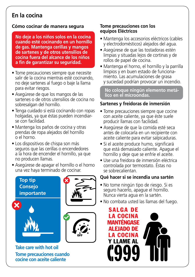# **En la cocina**

#### **Cómo cocinar de manera segura**

**No deje a los niños solos en la cocina cuando esté cocinando en un hornillo de gas. Mantenga cerillas y mangos de sartenes y de otros utensilios de cocina fuera del alcance de los niños a fin de garantizar su seguridad.**

- Tome precauciones siempre que necesite salir de la cocina mientras esté cocinando, no deje sartenes al fuego o baje la llama para evitar riesgos.
- Asegúrese de que los mangos de las sartenes o de otros utensilios de cocina no sobresalgan del hornillo.
- Tenga cuidado si está cocinando con ropas holgadas, ya que éstas pueden incendiarse con facilidad.
- Mantenga los paños de cocina y otras prendas de ropa alejados del hornillo o el horno.
- Los dispositivos de chispa son más seguros que las cerillas o encendedores a la hora de encender el hornillo, ya que no producen llamas.
- Asegúrese de apagar el hornillo o el horno una vez haya terminado de cocinar.





#### **Tome precauciones con los equipos Eléctricos**

- Mantenga los accesorios eléctricos (cables y electrodomésticos) alejados del agua.
- Asegúrese de que las tostadoras estén limpias y situadas lejos de cortinas y de rollos de papel de cocina.
- Mantenga el horno, el hornillo y la parrilla limpios y en buen estado de funcionamiento. Las acumulaciones de grasa y suciedad podrían provocar un incendio.

**No coloque ningún elemento metálico en el microondas.**

#### **Sartenes y freidoras de inmersión**

- Tome precauciones siempre que cocine con aceite caliente, ya que éste suele producir llamas con facilidad.
- Asegúrese de que la comida esté seca antes de colocarla en un recipiente con aceite caliente para evitar salpicaduras.
- Si el aceite produce humo, significará que está demasiado caliente. Apague el hornillo y deje que se enfríe el aceite.
- Use una freidora de inmersión eléctrica controlada por termostato. Éstas no se sobrecalientan.

#### **Qué hacer si se incendia una sartén**

- No tome ningún tipo de riesgo. Si es seguro hacerlo, apague el hornillo. Nunca vierta agua en la sartén.
- No combata usted las llamas del fuego.

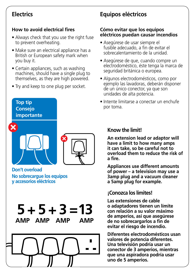# **Electrics**

# **How to avoid electrical fires**

- Always check that you use the right fuse to prevent overheating.
- Make sure an electrical appliance has a British or European safety mark when you buy it.
- Certain appliances, such as washing machines, should have a single plug to themselves, as they are high powered.
- Try and keep to one plug per socket.

# **Equipos eléctricos**

#### **Cómo evitar que los equipos eléctricos puedan causar incendios**

- Asegúrese de usar siempre el fusible adecuado, a fin de evitar el sobrecalentamiento de la unidad.
- Asegúrese de que, cuando compre un electrodoméstico, éste tenga la marca de seguridad británica o europea.
- Algunos electrodomésticos, como por ejemplo las lavadoras, deberán disponer de un único conector, ya que son unidades de alta potencia.
- Intente limitarse a conectar un enchufe por toma.

#### **importante Top tip Consejo**



**Don't overload No sobrecargue los equipos y accesorios eléctricos**





### **Know the limit!**

**An extension lead or adaptor will have a limit to how many amps it can take, so be careful not to overload them to reduce the risk of a fire.**

**Appliances use different amounts of power – a television may use a 3amp plug and a vacuum cleaner a 5amp plug for example.**

#### **¡Conozca los límites!**

**Las extensiones de cable o adaptadores tienen un límite con relación a su valor máximo de amperios, así que asegúrese de no sobrecargarlos a fin de evitar el riesgo de incendio.**

**Diferentes electrodomésticos usan valores de potencia diferentes. Una televisión podría usar un conector de 3 amperios, mientras que una aspiradora podría usar uno de 5 amperios.**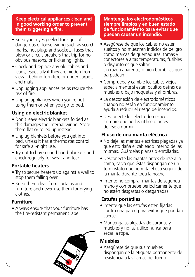#### **Keep electrical appliances clean and in good working order to prevent them triggering a fire.**

- Keep your eyes peeled for signs of dangerous or loose wiring such as scorch marks, hot plugs and sockets, fuses that blow or circuit-breakers that trip for no obvious reasons, or flickering lights.
- Check and replace any old cables and leads, especially if they are hidden from view – behind furniture or under carpets and mats.
- Unplugging appliances helps reduce the risk of fire.
- Unplug appliances when you're not using them or when you go to bed.

#### **Using an electric blanket**

- Don't leave electric blankets folded as this damages the internal wiring. Store them flat or rolled up instead.
- Unplug blankets before you get into bed, unless it has a thermostat control for safe all-night use.
- Try not to buy second hand blankets and check regularly for wear and tear.

#### **Portable heaters**

- Try to secure heaters up against a wall to stop them falling over.
- Keep them clear from curtains and furniture and never use them for drying clothes.

#### **Furniture**

• Always ensure that your furniture has the fire-resistant permanent label.



**Mantenga los electrodomésticos siempre limpios y en buen estado de funcionamiento para evitar que puedan causar un incendio.**

- Asegúrese de que los cables no estén sueltos y no muestren indicios de peligro como marcas de quemaduras, tomas y conectores a altas temperaturas, fusibles o disyuntores que saltan sin razón aparente, o bien bombillas que parpadean.
- Compruebe y cambie los cables viejos, especialmente si están ocultos detrás de muebles o bajo moquetas y alfombras.
- La desconexión de electrodomésticos cuando no están en funcionamiento ayuda a reducir el riesgo de incendios.
- Desconecte los electrodomésticos siempre que no los utilice o antes de irse a dormir.

#### **El uso de una manta eléctrica**

- No deje las mantas eléctricas plegadas ya que esto daña el cableado interno de las mismas. Guárdelas planas o enrolladas.
- Desconecte las mantas antes de irse a la cama, salvo que éstas dispongan de un termostato que permita el uso seguro de la manta durante toda la noche.
- Intente no comprar mantas de segunda mano y compruebe periódicamente que no estén desgastas o desgarradas.

#### **Estufas portátiles**

- Intente que las estufas estén fijadas contra una pared para evitar que puedan caerse.
- Manténgalas alejadas de cortinas y muebles y no las utilice nunca para secar la ropa.

#### **Muebles**

• Asegúrese de que sus muebles dispongan de la etiqueta permanente de resistencia a las llamas del fuego.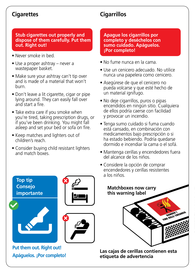# **Cigarettes**

# **Cigarrillos**

#### **Stub cigarettes out properly and dispose of them carefully. Put them out. Right out!**

- Never smoke in bed.
- Use a proper ashtray never a wastepaper basket.
- Make sure your ashtray can't tip over and is made of a material that won't burn.
- Don't leave a lit cigarette, cigar or pipe lying around. They can easily fall over and start a fire.
- Take extra care if you smoke when you're tired, taking prescription drugs, or if you've been drinking. You might fall asleep and set your bed or sofa on fire.
- Keep matches and lighters out of children's reach.
- Consider buying child resistant lighters and match boxes.

 **Apague los cigarrillos por completo y deséchelos con sumo cuidado. Apáguelos. ¡Por completo!** 

- No fume nunca en la cama.
- Use un cenicero adecuado. No utilice nunca una papelera como cenicero.
- Asegúrese de que el cenicero no pueda volcarse y que esté hecho de un material ignífugo.
- No deje cigarrillos, puros o pipas encendidos en ningún sitio. Cualquiera de ellos podría caerse con facilidad y provocar un incendio.
- Tenga sumo cuidado si fuma cuando está cansado, en combinación con medicamentos bajo prescripción o si ha estado bebiendo. Podría quedarse dormido e incendiar la cama o el sofá.
- Mantenga cerillas y encendedores fuera del alcance de los niños.
- Considere la opción de comprar encendedores y cerillas resistentes a los niños.

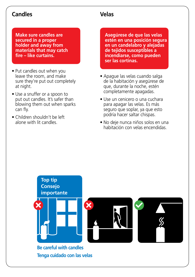### **Candles**

 **Make sure candles are secured in a proper holder and away from materials that may catch fire – like curtains.** 

- Put candles out when you leave the room, and make sure they're put out completely at night.
- Use a snuffer or a spoon to put out candles. It's safer than blowing them out when sparks can fly.
- Children shouldn't be left alone with lit candles.

**Velas**

**Asegúrese de que las velas estén en una posición segura en un candelabro y alejadas de tejidos susceptibles a incendiarse, como pueden ser las cortinas.** 

- Apague las velas cuando salga de la habitación y asegúrese de que, durante la noche, estén completamente apagadas.
- Use un cenicero o una cuchara para apagar las velas. Es más seguro que soplar, ya que esto podría hacer saltar chispas.
- No deje nunca niños solos en una habitación con velas encendidas.

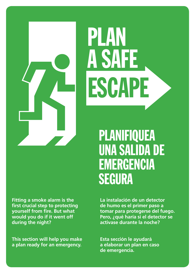

# ESCAPE PLAN A SAFE

PLANIFIQUEA UNA SALIDA DE **EMERGENCIA SEGURA** 

**Fitting a smoke alarm is the first crucial step to protecting yourself from fire. But what would you do if it went off during the night?** 

**This section will help you make a plan ready for an emergency.** 

**La instalación de un detector de humo es el primer paso a tomar para protegerse del fuego. Pero, ¿qué haría si el detector se activase durante la noche?** 

**Esta sección le ayudará a elaborar un plan en caso de emergencia.**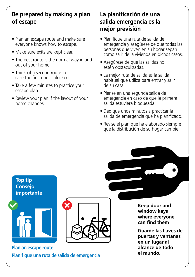# **Be prepared by making a plan of escape**

- Plan an escape route and make sure everyone knows how to escape.
- Make sure exits are kept clear.
- The best route is the normal way in and out of your home.
- Think of a second route in case the first one is blocked.
- Take a few minutes to practice your escape plan.
- Review your plan if the layout of your home changes.

# **La planificación de una salida emergencia es la mejor previsión**

- Planifique una ruta de salida de emergencia y asegúrese de que todas las personas que viven en su hogar sepan como salir de la vivienda en dichos casos.
- Asegúrese de que las salidas no estén obstaculizadas.
- La mejor ruta de salida es la salida habitual que utiliza para entrar y salir de su casa.
- Piense en una segunda salida de emergencia en caso de que la primera salida estuviera bloqueada.
- Dedique unos minutos a practicar la salida de emergencia que ha planificado.
- Revise el plan que ha elaborado siempre que la distribución de su hogar cambie.

**Top tip Consejo importante**



**Plan an escape route Planifique una ruta de salida de emergencia**

**Keep door and window keys where everyone can find them**

**Guarde las llaves de puertas y ventanas en un lugar al alcance de todo el mundo.**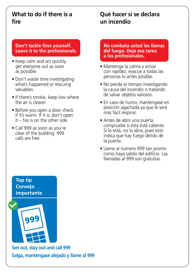# **What to do if there is a fire**

#### **Don't tackle fires yourself. Leave it to the professionals.**

- Keep calm and act quickly, get everyone out as soon as possible.
- Don't waste time investigating what's happened or rescuing valuables.
- If there's smoke, keep low where the air is clearer.
- Before you open a door check if it's warm. If it is, don't open it – fire is on the other side.
- Call 999 as soon as you're clear of the building. 999 calls are free.

# **Qué hacer si se declara un incendio**

#### **No combata usted las llamas del fuego. Deje esa tarea a los profesionales.**

- Mantenga la calma y actúe con rapidez, evacue a todas las personas lo antes posible.
- No pierda el tiempo investigando la causa del incendio o tratando de salvar objetos valiosos.
- En caso de humo, manténgase en posición agachada ya que le será más fácil respirar.
- Antes de abrir una puerta compruebe si ésta está caliente. Si lo está, no la abra, pues esto indica que hay fuego detrás de la puerta.
- Llame al número 999 tan pronto como haya salido del edificio. Las llamadas al 999 son gratuitas.

**Top tip Consejo importante**



**Get out, stay out and call 999 Salga, manténgase alejado y llame al 999**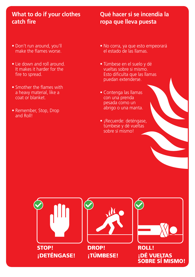# **What to do if your clothes catch fire**

- Don't run around, you'll make the flames worse.
- Lie down and roll around. It makes it harder for the fire to spread.
- Smother the flames with a heavy material, like a coat or blanket.
- Remember, Stop, Drop and Roll!

# **Qué hacer si se incendia la ropa que lleva puesta**

- No corra, ya que esto empeorará el estado de las llamas.
- Túmbese en el suelo y dé vueltas sobre si mismo. Esto dificulta que las llamas puedan extenderse.
- Contenga las llamas con una prenda pesada como un abrigo o una manta.
- ¡Recuerde: deténgase, túmbese y dé vueltas sobre sí mismo!

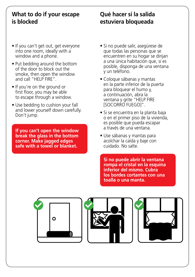# **What to do if your escape is blocked**

- If you can't get out, get everyone into one room, ideally with a window and a phone.
- Put bedding around the bottom of the door to block out the smoke, then open the window and call "HELP FIRE".
- If you're on the ground or first floor, you may be able to escape through a window.

• Use bedding to cushion your fall and lower yourself down carefully. Don't jump.

**If you can't open the window break the glass in the bottom corner. Make jagged edges safe with a towel or blanket.**

# **Qué hacer si la salida estuviera bloqueada**

- Si no puede salir, asegúrese de que todas las personas que se encuentren en su hogar se dirijan a una única habitación que, si es posible, disponga de una ventana y un teléfono.
- Coloque sábanas y mantas en la parte inferior de la puerta para bloquear el humo y, a continuación, abra la ventana y grite "HELP FIRE [SOCORRO FUEGO]".
- Si se encuentra en la planta baja o en el primer piso de la vivienda, es posible que pueda escapar a través de una ventana.
- Use sábanas y mantas para acolchar la caída y baje con cuidado. No salte.

**Si no puede abrir la ventana rompa el cristal en la esquina inferior del mismo. Cubra los bordes cortantes con una toalla o una manta.**



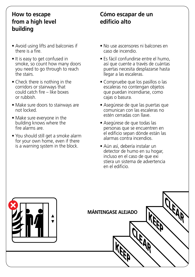# **How to escape from a high level building**

- Avoid using lifts and balconies if there is a fire.
- It is easy to get confused in smoke, so count how many doors you need to go through to reach the stairs.
- Check there is nothing in the corridors or stairways that could catch fire – like boxes or rubbish.
- Make sure doors to stairways are not locked.
- Make sure everyone in the building knows where the fire alarms are.
- You should still get a smoke alarm for your own home, even if there is a warning system in the block.

# **Cómo escapar de un edificio alto**

- No use ascensores ni balcones en caso de incendio.
- Es fácil confundirse entre el humo, así que cuente a través de cuántas puertas necesita desplazarse hasta llegar a las escaleras.
- Compruebe que los pasillos o las escaleras no contengan objetos que puedan incendiarse, como cajas o basura.
- Asegúrese de que las puertas que comunican con las escaleras no estén cerradas con llave.
- Asegúrese de que todas las personas que se encuentren en el edificio sepan dónde están las alarmas contra incendios.
- Aún así, debería instalar un detector de humo en su hogar, incluso en el caso de que exi stiera un sistema de advertencia en el edificio.

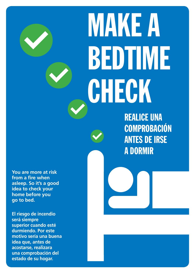# MAKE A BEDTIME CHECK

REALICE UNA COMPROBACIÓN ANTES DE IRSE A DORMIR

**You are more at risk from a fire when asleep. So it's a good idea to check your home before you go to bed.**

**El riesgo de incendio será siempre superior cuando esté durmiendo. Por este motivo sería una buena idea que, antes de acostarse, realizara una comprobación del estado de su hogar.**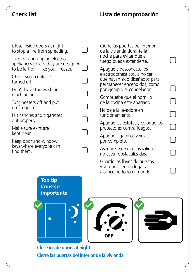# **Check list**

# **Lista de comprobación**

| Close inside doors at night<br>to stop a fire from spreading.<br>Turn off and unplug electrical<br>appliances unless they are designed<br>to be left on - like your freezer.                                                                                                      | Cierre las puertas del interior<br>de la vivienda durante la<br>noche para evitar que el<br>fuego pueda extenderse.<br>Apague y desconecte los                                                                                                                                                                                                                                                                 |  |
|-----------------------------------------------------------------------------------------------------------------------------------------------------------------------------------------------------------------------------------------------------------------------------------|----------------------------------------------------------------------------------------------------------------------------------------------------------------------------------------------------------------------------------------------------------------------------------------------------------------------------------------------------------------------------------------------------------------|--|
| Check your cooker is<br>turned off.<br>Don't leave the washing<br>machine on.<br>Turn heaters off and put<br>up fireguards.<br>Put candles and cigarettes<br>out properly.<br>Make sure exits are<br>kept clear.<br>Keep door and window<br>keys where everyone can<br>find them. | electrodomésticos, a no ser<br>que hayan sido diseñados para<br>permanecer encendidos, como<br>por ejemplo el congelador.<br>Compruebe que el hornillo<br>de la cocina esté apagado.<br>No deje la lavadora en<br>funcionamiento.<br>Apague las estufas y coloque los<br>protectores contra fuegos.<br>Apague cigarrillos y velas<br>por completo.<br>Asegúrese de que las salidas<br>no estén obstaculizadas. |  |
|                                                                                                                                                                                                                                                                                   | Guarde las llaves de puertas<br>y ventanas en un lugar al<br>alcance de todo el mundo.                                                                                                                                                                                                                                                                                                                         |  |
| <b>Top tip</b><br>Consejo<br>importante<br><b>Close inside doors at night</b><br>Cierre las puertas del interior de la vivienda                                                                                                                                                   | OFF                                                                                                                                                                                                                                                                                                                                                                                                            |  |